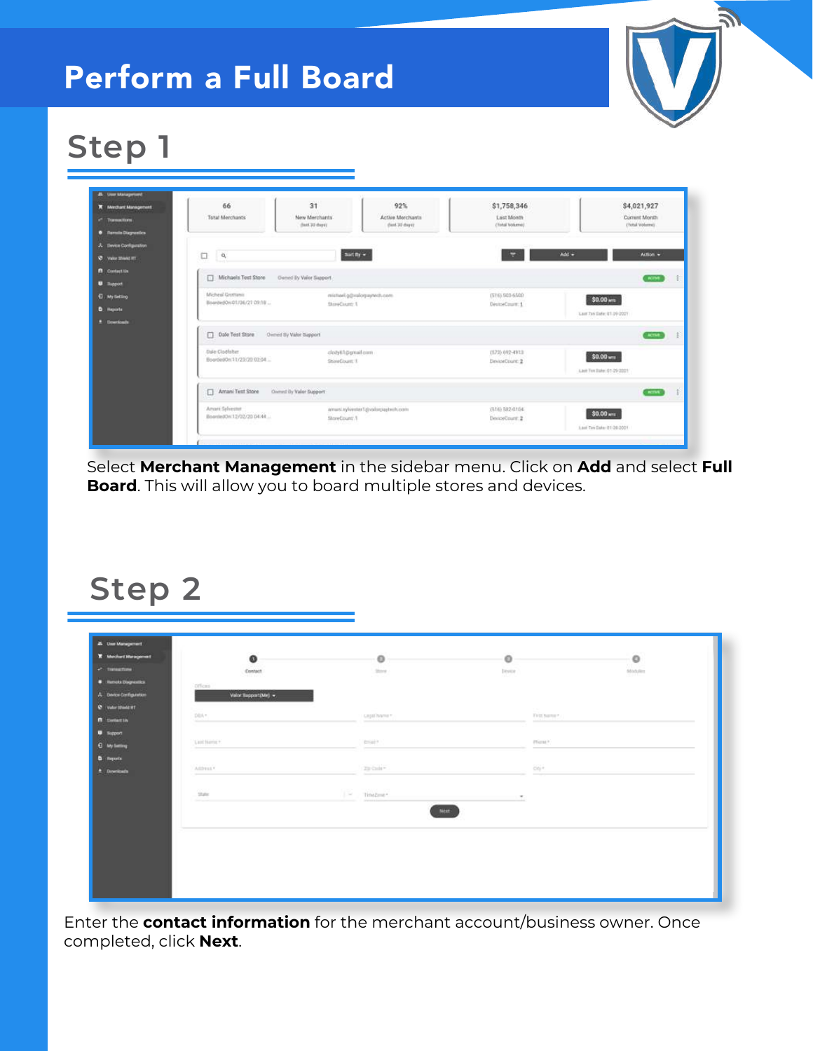### Perform a Full Board



# **Step 1**

| <b>K</b> Merchant Management | 66                                          | 31                            | 92%                               | \$1,758,346      | \$4,021,927               |
|------------------------------|---------------------------------------------|-------------------------------|-----------------------------------|------------------|---------------------------|
| <sup>2</sup> Transactions    | <b>Total Merchants</b>                      | New Merchants                 | Active Merchants                  | Last Month       | Current Month             |
| <b>O</b> Remite Diagnostics  |                                             | (fast 22 days)                | (fant 30 days)                    | Clotul Wolversto | Chetal Wohersell          |
| A Device Configuration       |                                             |                               |                                   |                  |                           |
| <b>Q</b> Value Shand FT      | $\Box$<br>$\mathsf{Q}_i$                    |                               | Surf By $\sim$                    | e                | Add =<br>Action .         |
| <b>B</b> Contact Us          |                                             |                               |                                   |                  |                           |
| <b>U</b> Tuppott             | 0<br>Michaels Test Store                    | <b>Owned by Valor Support</b> |                                   |                  | AGTM                      |
| <b>El My tietting</b>        | Micheal Grottanii                           |                               | misheet.g/(ivalorpaytech.com      | (516) 503-6500   | \$0.00 am                 |
| <b>D</b> Reports             | BoardedOn:01/06/21 09:18                    | StoreCount 1                  |                                   | DeviceCount: 1   | Last Tan Eate: 01:09:0001 |
| 2 Downloads                  |                                             |                               |                                   |                  |                           |
|                              | Dode Test Store                             | Owned By Valor Support        |                                   |                  | ACTM :                    |
|                              | Dale Clodfsher                              | dobitionnal.com               |                                   | (572) 692-4913   | \$0.00 um                 |
|                              | BoordedOn:11/23/20 02:04                    | SteveCount: 1                 |                                   | DeviceCount 2    |                           |
|                              |                                             |                               |                                   |                  | Last Tim Bake 01-29 2021  |
|                              | Amani Test Store                            | Owned by Valor Support        |                                   |                  | <b>Arms</b>               |
|                              | Amari Sylvester<br>BoardedOn(12/02/20 04:44 |                               | amust sylvester1@volorpaytech.com | (516) 582-0104   | \$0.00 MIL                |
|                              |                                             | StoreCount: 9                 |                                   | DeviceCount: 2   |                           |

Select **Merchant Management** in the sidebar menu. Click on **Add** and select **Full Board**. This will allow you to board multiple stores and devices.

#### **Step 2**

| $\bullet$<br>$\circ$<br>$\circ$<br>$\circ$<br>$2$ Trainerform<br>Contact<br>2224<br>Device<br>Modules<br>нο<br><b>Offices</b><br>Velor support(Me) =<br><b>City</b><br>2051<br>FIRE Name *<br>casti hanen<br>$\frac{1}{2}$<br><b>ESIT</b><br>Pliant <sup>a</sup><br>"Last Name *<br>$\frac{1}{2}$                                                                                                                                                                                                   |
|-----------------------------------------------------------------------------------------------------------------------------------------------------------------------------------------------------------------------------------------------------------------------------------------------------------------------------------------------------------------------------------------------------------------------------------------------------------------------------------------------------|
| <b>U</b> Hench Disposites                                                                                                                                                                                                                                                                                                                                                                                                                                                                           |
| A Dence Canfiguration                                                                                                                                                                                                                                                                                                                                                                                                                                                                               |
| <b>C</b> VANY STANLERT                                                                                                                                                                                                                                                                                                                                                                                                                                                                              |
| <b>B</b> betain<br><b>U</b> Support                                                                                                                                                                                                                                                                                                                                                                                                                                                                 |
| <b>C</b> MySelling                                                                                                                                                                                                                                                                                                                                                                                                                                                                                  |
| <b>D</b> Reports                                                                                                                                                                                                                                                                                                                                                                                                                                                                                    |
|                                                                                                                                                                                                                                                                                                                                                                                                                                                                                                     |
| 20 Cole -<br>öti*<br>Alldress *                                                                                                                                                                                                                                                                                                                                                                                                                                                                     |
| $\triangle$ Downloads<br>$\frac{1}{2} \left( \frac{1}{2} \right) \left( \frac{1}{2} \right) \left( \frac{1}{2} \right) \left( \frac{1}{2} \right) \left( \frac{1}{2} \right) \left( \frac{1}{2} \right) \left( \frac{1}{2} \right) \left( \frac{1}{2} \right) \left( \frac{1}{2} \right) \left( \frac{1}{2} \right) \left( \frac{1}{2} \right) \left( \frac{1}{2} \right) \left( \frac{1}{2} \right) \left( \frac{1}{2} \right) \left( \frac{1}{2} \right) \left( \frac{1}{2} \right) \left( \frac$ |
| <b>COLLE</b><br>State<br>$1 -$<br>TimeZone *<br>_________                                                                                                                                                                                                                                                                                                                                                                                                                                           |
|                                                                                                                                                                                                                                                                                                                                                                                                                                                                                                     |
| Next.                                                                                                                                                                                                                                                                                                                                                                                                                                                                                               |

Enter the **contact information** for the merchant account/business owner. Once completed, click **Next**.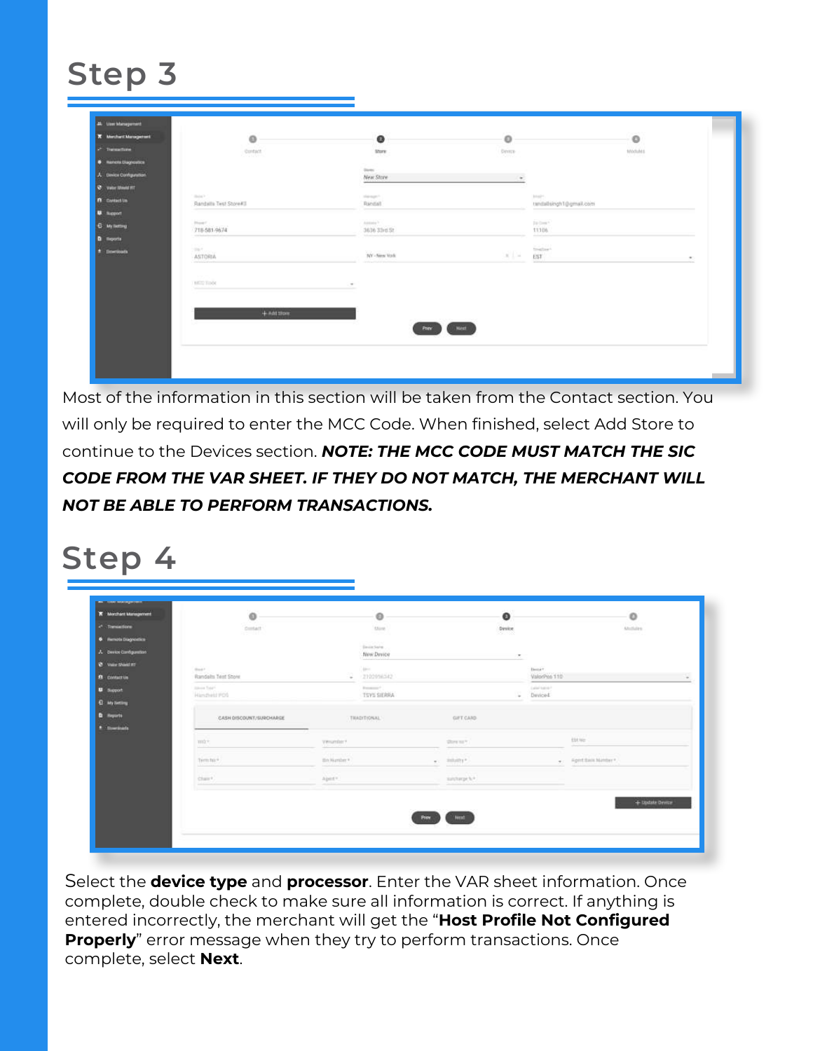## **Step 3**

| <b>X</b> Merchant Management | $\circ$                                  | $\bullet$               | $\circ$                                                                                                                   | <b>Contractor</b><br>$\circ$ |  |
|------------------------------|------------------------------------------|-------------------------|---------------------------------------------------------------------------------------------------------------------------|------------------------------|--|
| 2 Thomas form                | <b>Contact</b><br>CRY Isha               | Store:<br>SU 6          | <b>Ceyron</b><br><b>STATISTICS</b>                                                                                        | tootules<br>17 March         |  |
| <b>6</b> Nemote Clagrippines |                                          |                         |                                                                                                                           |                              |  |
| A Device Configuration       |                                          | Store:<br>New Store     | $\sim$                                                                                                                    |                              |  |
| <b>Q</b> Value Street HT     |                                          |                         |                                                                                                                           |                              |  |
| <b>A</b> Contact Un          | <b>Shine P.</b><br>Randalla Test Store#3 | Statement 1<br>Randall  | $\frac{1}{2} \ln\left(\frac{1}{2}\right) ^{2/3}$ ,<br>randallsingh1@gmail.com                                             |                              |  |
| <b>U.</b> Support            |                                          |                         |                                                                                                                           |                              |  |
| <b>C</b> My Tetting          | How !<br>718-581-9674                    | America<br>3636 33rd St | Da Corea 4<br>11106                                                                                                       |                              |  |
| <b>D</b> Reports             | <b>CONTRACTOR</b>                        | <b>STATISTICS</b>       | ---                                                                                                                       |                              |  |
| $\pm$ : Elevriconta          | part<br>ASTORIA                          | NY-New York             | <b>Southern</b><br>$2.1 -$<br>EST.                                                                                        |                              |  |
|                              | statement of the con-                    |                         | $\frac{1}{2} \left( \frac{1}{2} \right) \left( \frac{1}{2} \right) \left( \frac{1}{2} \right) \left( \frac{1}{2} \right)$ | ٠                            |  |
|                              | <b>CAST</b>                              |                         |                                                                                                                           |                              |  |
|                              | <b>BEET TOOK</b><br>---                  | $\sim$                  |                                                                                                                           |                              |  |
|                              |                                          |                         |                                                                                                                           |                              |  |
|                              | 4-not store                              |                         |                                                                                                                           |                              |  |
|                              |                                          | Pape                    | Next                                                                                                                      |                              |  |
|                              |                                          |                         |                                                                                                                           |                              |  |

Most of the information in this section will be taken from the Contact section. You will only be required to enter the MCC Code. When finished, select Add Store to continue to the Devices section. *NOTE: THE MCC CODE MUST MATCH THE SIC CODE FROM THE VAR SHEET. IF THEY DO NOT MATCH, THE MERCHANT WILL NOT BE ABLE TO PERFORM TRANSACTIONS.*

### **Step 4**

| <b>K</b> Merchant Management | $\circ$                                  |                                    | $\circ$                   |      | $\mathbf{o}$                                                       |   |               | $\circ$                |
|------------------------------|------------------------------------------|------------------------------------|---------------------------|------|--------------------------------------------------------------------|---|---------------|------------------------|
| - Transactions               | <b>Contact</b><br>an an                  |                                    | <b>Mark</b>               |      | Device.                                                            |   |               | Allofalty              |
| <b>6</b> Hemats Diagnostics  |                                          |                                    |                           |      | 520 TX                                                             |   |               |                        |
| A Design Configuration       |                                          |                                    | Senia Sales<br>New Davice |      | $\mathcal{L} = \{ \mathcal{L} \mid \mathcal{L} \in \mathcal{L} \}$ |   |               |                        |
| $8$ Var Stati III            | <b>Bad F</b>                             |                                    | Administration            |      |                                                                    |   | <b>Herman</b> |                        |
| <b>B</b> contact in          | Randalls Text Stone                      | $\sim$                             | 2202096342                |      |                                                                    |   | ValorPoo 110  |                        |
| <b>U</b> Support             | <b>Silver Total</b>                      |                                    | <b>Report Follows</b>     |      |                                                                    |   | Label Adole F |                        |
| <b>Q</b> My Setting          | Handleid PDS                             |                                    | TSYS SIERRA               |      |                                                                    | × | Daviced       |                        |
| <b>Q</b> Heyarts             | CASH DISCOUNT/SURCHARGE                  |                                    | TRADITIONAL               |      | <b>GIFT CARD</b>                                                   |   |               |                        |
| * Streetskie                 |                                          |                                    |                           |      |                                                                    |   |               |                        |
|                              | mir.                                     | Virtumber?                         |                           |      | Show to Y                                                          |   |               | title                  |
|                              | Term his *<br><b>Silvers</b>             | <b>PARTICIPATE</b><br>fin Namber 9 |                           |      | $\omega$ . Infullity *.                                            |   |               | . Aport Back Manber *. |
|                              | Charr <sup>e</sup> .<br><b>Selection</b> | Apert *                            |                           |      | sunname.h.r.                                                       |   |               |                        |
|                              |                                          |                                    |                           |      |                                                                    |   |               | + Update Device        |
|                              |                                          |                                    |                           | Prev | 'Most                                                              |   |               |                        |
|                              |                                          |                                    |                           |      |                                                                    |   |               |                        |

Select the **device type** and **processor**. Enter the VAR sheet information. Once complete, double check to make sure all information is correct. If anything is entered incorrectly, the merchant will get the "**Host Profile Not Configured Properly**" error message when they try to perform transactions. Once complete, select **Next**.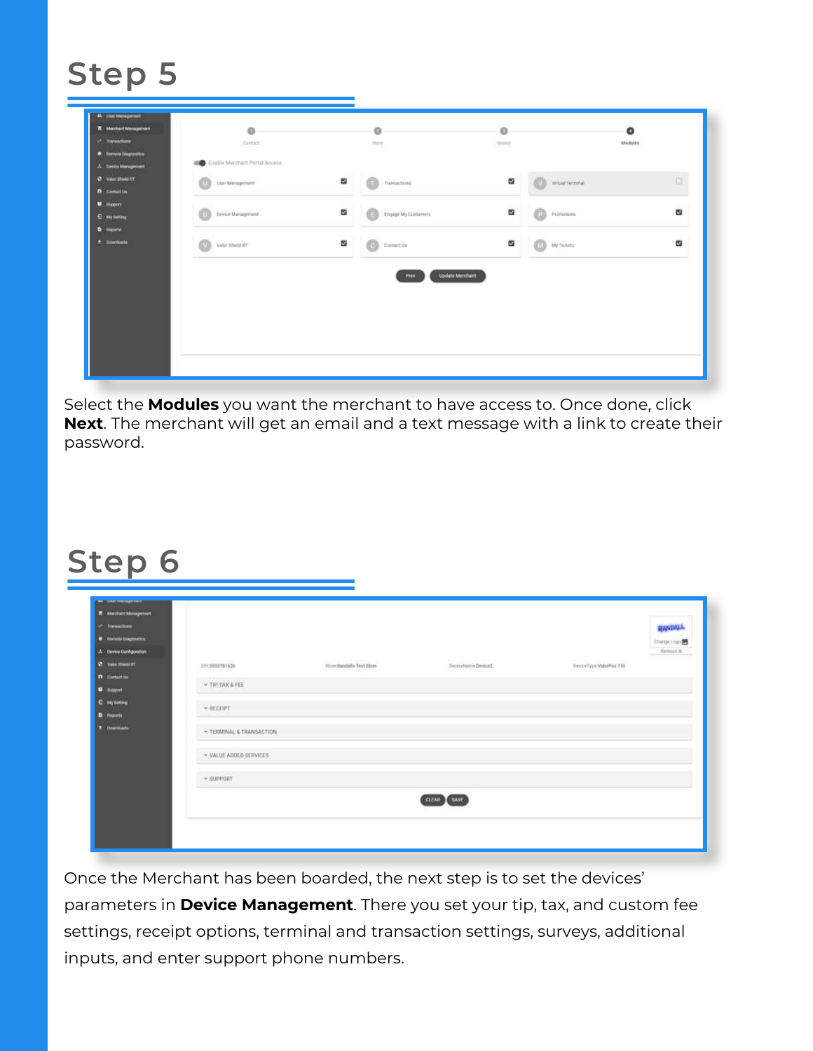## **Step 5**

| <b>R</b> Merchard Management<br>$\omega$ Tomactions                           | $\circ$<br>Cardact:                              |   | o<br><b>State:</b>             | CALLS:<br>o<br>: Dynton: |                  | $\bullet$<br>Modules. |
|-------------------------------------------------------------------------------|--------------------------------------------------|---|--------------------------------|--------------------------|------------------|-----------------------|
| <b>B</b> Remote Diagnostics                                                   | <b>CONTRACTOR</b> Enable Memburnt Portal Access. |   |                                |                          |                  |                       |
| A Device Management<br><b>D</b> Value Sheek for<br><b><i>n</i></b> consection | User Management                                  | a | transctore                     | a                        | Virtual ferminal | G.                    |
| <b>U</b> Suport<br><b>El ney timbing</b>                                      | Device Management                                | a | <b>Engage My Customers</b>     | 罶                        | Primitions       | a                     |
| <b>D</b> Reporte<br>$\pm$ : Directoria.                                       | Value filtered RT<br>m                           | a | Cortent Us                     | 罶                        | Wy ficients      | 器                     |
|                                                                               |                                                  |   |                                |                          |                  |                       |
|                                                                               |                                                  |   | <b>Update Merchent</b><br>PHEV |                          |                  |                       |
|                                                                               |                                                  |   |                                |                          |                  |                       |
|                                                                               |                                                  |   |                                |                          |                  |                       |
|                                                                               |                                                  |   |                                |                          |                  |                       |

Select the **Modules** you want the merchant to have access to. Once done, click **Next**. The merchant will get an email and a text message with a link to create their password.

### **Step 6**

| <b><i>C.</i></b> Transactions<br>· Remote Chigacotto<br>A Device Configuration |                                             |                                                |                                                                                                                                                                                                                                |                                                     | <b>RANDALL</b><br>Change Logo<br>flempie X |
|--------------------------------------------------------------------------------|---------------------------------------------|------------------------------------------------|--------------------------------------------------------------------------------------------------------------------------------------------------------------------------------------------------------------------------------|-----------------------------------------------------|--------------------------------------------|
| <b>Q</b> Valor threat #1                                                       | <b>COMMITTEE</b><br>EP12033781626           | <b>CONTRACTOR</b><br>Store Bandalis Test Store | Deviceforme Device2                                                                                                                                                                                                            | $\mathtt{Decect}_2(\mathfrak{p})$ Valui<br>Pas † 10 |                                            |
| <b>n</b> . derivative                                                          | 25 211 22 24 3<br><b>CONTRACTOR</b>         | 한 사회 대표 전체 인사는 것 같                             | and the second control of the second control of the second control of the second control of the second control of the second control of the second control of the second control of the second control of the second control o |                                                     |                                            |
| <b>U <i>squit</i></b>                                                          | v TIP TAX & FEE<br><b><i>COMMENTANT</i></b> |                                                |                                                                                                                                                                                                                                |                                                     |                                            |
| <b>C</b> My Setting                                                            | <b>v RECEIPT</b>                            |                                                |                                                                                                                                                                                                                                |                                                     |                                            |
| <b>D</b> Reports                                                               |                                             |                                                |                                                                                                                                                                                                                                |                                                     |                                            |
| # Downloads                                                                    | * TERMINAL & TRANSACTION                    |                                                |                                                                                                                                                                                                                                |                                                     |                                            |
|                                                                                | <b>v. VALUE ADDED SERVICES</b>              |                                                |                                                                                                                                                                                                                                |                                                     |                                            |
|                                                                                | v SUPPORT                                   |                                                |                                                                                                                                                                                                                                |                                                     |                                            |
|                                                                                |                                             |                                                | CLEAN SAVE                                                                                                                                                                                                                     |                                                     |                                            |
|                                                                                |                                             |                                                |                                                                                                                                                                                                                                |                                                     |                                            |

Once the Merchant has been boarded, the next step is to set the devices' parameters in **Device Management**. There you set your tip, tax, and custom fee settings, receipt options, terminal and transaction settings, surveys, additional inputs, and enter support phone numbers.